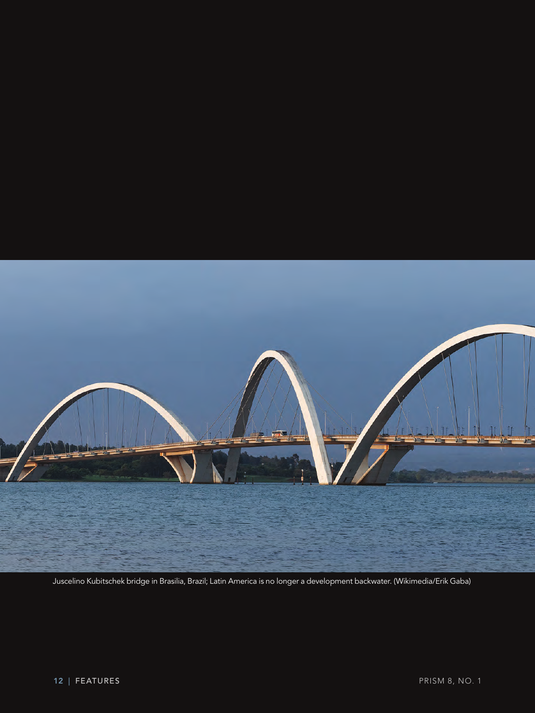

Juscelino Kubitschek bridge in Brasilia, Brazil; Latin America is no longer a development backwater. (Wikimedia/Erik Gaba)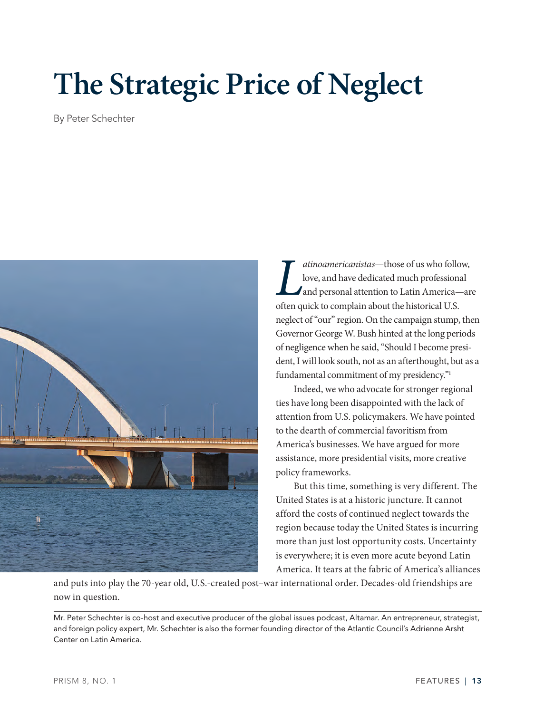# **The Strategic Price of Neglect**

By Peter Schechter



*L L L L L L L L**L**L**L**Cove, and have dedicated much professions<br>
<i>L**Cove, and have dedicated much professions<br>
<i>Complain about the historical U.S. atinoamericanistas*—those of us who follow, love, and have dedicated much professional and personal attention to Latin America—are neglect of "our" region. On the campaign stump, then Governor George W. Bush hinted at the long periods of negligence when he said, "Should I become president, I will look south, not as an afterthought, but as a fundamental commitment of my presidency."<sup>1</sup>

Indeed, we who advocate for stronger regional ties have long been disappointed with the lack of attention from U.S. policymakers. We have pointed to the dearth of commercial favoritism from America's businesses. We have argued for more assistance, more presidential visits, more creative policy frameworks.

But this time, something is very different. The United States is at a historic juncture. It cannot afford the costs of continued neglect towards the region because today the United States is incurring more than just lost opportunity costs. Uncertainty is everywhere; it is even more acute beyond Latin America. It tears at the fabric of America's alliances

and puts into play the 70-year old, U.S.-created post–war international order. Decades-old friendships are now in question.

Mr. Peter Schechter is co-host and executive producer of the global issues podcast, Altamar. An entrepreneur, strategist, and foreign policy expert, Mr. Schechter is also the former founding director of the Atlantic Council's Adrienne Arsht Center on Latin America.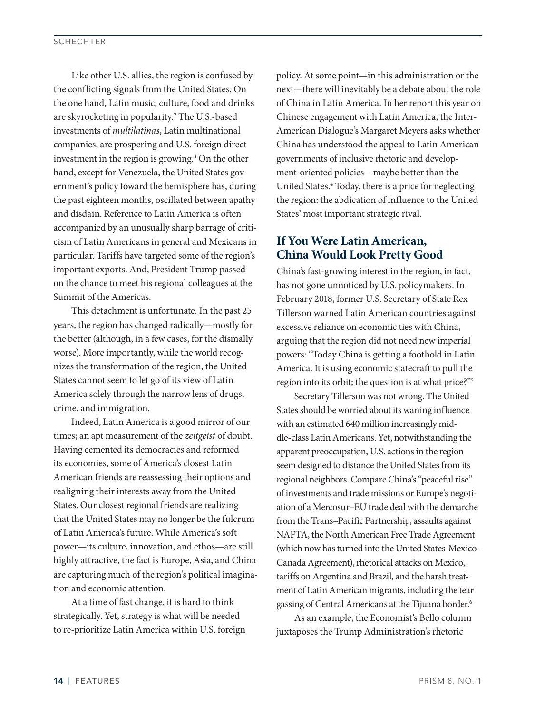Like other U.S. allies, the region is confused by the conflicting signals from the United States. On the one hand, Latin music, culture, food and drinks are skyrocketing in popularity.2 The U.S.-based investments of *multilatinas*, Latin multinational companies, are prospering and U.S. foreign direct investment in the region is growing.<sup>3</sup> On the other hand, except for Venezuela, the United States government's policy toward the hemisphere has, during the past eighteen months, oscillated between apathy and disdain. Reference to Latin America is often accompanied by an unusually sharp barrage of criticism of Latin Americans in general and Mexicans in particular. Tariffs have targeted some of the region's important exports. And, President Trump passed on the chance to meet his regional colleagues at the Summit of the Americas.

This detachment is unfortunate. In the past 25 years, the region has changed radically—mostly for the better (although, in a few cases, for the dismally worse). More importantly, while the world recognizes the transformation of the region, the United States cannot seem to let go of its view of Latin America solely through the narrow lens of drugs, crime, and immigration.

Indeed, Latin America is a good mirror of our times; an apt measurement of the *zeitgeist* of doubt. Having cemented its democracies and reformed its economies, some of America's closest Latin American friends are reassessing their options and realigning their interests away from the United States. Our closest regional friends are realizing that the United States may no longer be the fulcrum of Latin America's future. While America's soft power—its culture, innovation, and ethos—are still highly attractive, the fact is Europe, Asia, and China are capturing much of the region's political imagination and economic attention.

At a time of fast change, it is hard to think strategically. Yet, strategy is what will be needed to re-prioritize Latin America within U.S. foreign policy. At some point—in this administration or the next—there will inevitably be a debate about the role of China in Latin America. In her report this year on Chinese engagement with Latin America, the Inter-American Dialogue's Margaret Meyers asks whether China has understood the appeal to Latin American governments of inclusive rhetoric and development-oriented policies—maybe better than the United States.<sup>4</sup> Today, there is a price for neglecting the region: the abdication of influence to the United States' most important strategic rival.

# **If You Were Latin American, China Would Look Pretty Good**

China's fast-growing interest in the region, in fact, has not gone unnoticed by U.S. policymakers. In February 2018, former U.S. Secretary of State Rex Tillerson warned Latin American countries against excessive reliance on economic ties with China, arguing that the region did not need new imperial powers: "Today China is getting a foothold in Latin America. It is using economic statecraft to pull the region into its orbit; the question is at what price?"5

Secretary Tillerson was not wrong. The United States should be worried about its waning influence with an estimated 640 million increasingly middle-class Latin Americans. Yet, notwithstanding the apparent preoccupation, U.S. actions in the region seem designed to distance the United States from its regional neighbors. Compare China's "peaceful rise" of investments and trade missions or Europe's negotiation of a Mercosur–EU trade deal with the demarche from the Trans–Pacific Partnership, assaults against NAFTA, the North American Free Trade Agreement (which now has turned into the United States-Mexico-Canada Agreement), rhetorical attacks on Mexico, tariffs on Argentina and Brazil, and the harsh treatment of Latin American migrants, including the tear gassing of Central Americans at the Tijuana border.6

As an example, the Economist's Bello column juxtaposes the Trump Administration's rhetoric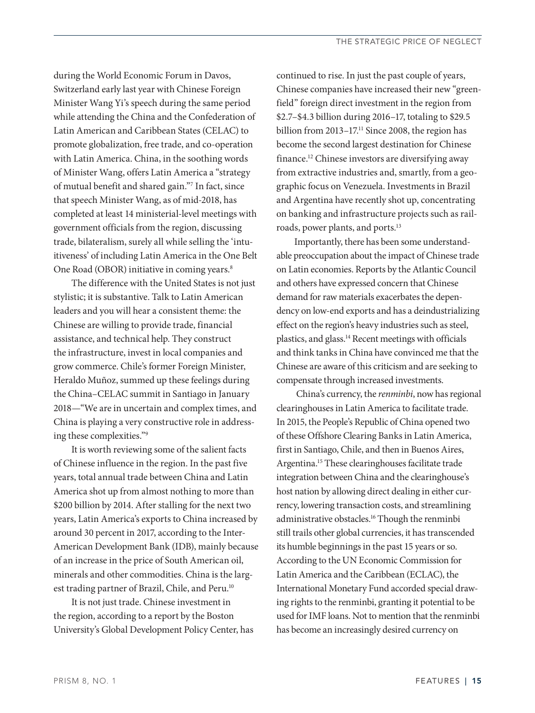during the World Economic Forum in Davos, Switzerland early last year with Chinese Foreign Minister Wang Yi's speech during the same period while attending the China and the Confederation of Latin American and Caribbean States (CELAC) to promote globalization, free trade, and co-operation with Latin America. China, in the soothing words of Minister Wang, offers Latin America a "strategy of mutual benefit and shared gain."7 In fact, since that speech Minister Wang, as of mid-2018, has completed at least 14 ministerial-level meetings with government officials from the region, discussing trade, bilateralism, surely all while selling the 'intuitiveness' of including Latin America in the One Belt One Road (OBOR) initiative in coming years.<sup>8</sup>

The difference with the United States is not just stylistic; it is substantive. Talk to Latin American leaders and you will hear a consistent theme: the Chinese are willing to provide trade, financial assistance, and technical help. They construct the infrastructure, invest in local companies and grow commerce. Chile's former Foreign Minister, Heraldo Muñoz, summed up these feelings during the China–CELAC summit in Santiago in January 2018—"We are in uncertain and complex times, and China is playing a very constructive role in addressing these complexities."9

It is worth reviewing some of the salient facts of Chinese influence in the region. In the past five years, total annual trade between China and Latin America shot up from almost nothing to more than \$200 billion by 2014. After stalling for the next two years, Latin America's exports to China increased by around 30 percent in 2017, according to the Inter-American Development Bank (IDB), mainly because of an increase in the price of South American oil, minerals and other commodities. China is the largest trading partner of Brazil, Chile, and Peru.<sup>10</sup>

It is not just trade. Chinese investment in the region, according to a report by the Boston University's Global Development Policy Center, has continued to rise. In just the past couple of years, Chinese companies have increased their new "greenfield" foreign direct investment in the region from \$2.7–\$4.3 billion during 2016–17, totaling to \$29.5 billion from 2013–17.<sup>11</sup> Since 2008, the region has become the second largest destination for Chinese finance.12 Chinese investors are diversifying away from extractive industries and, smartly, from a geographic focus on Venezuela. Investments in Brazil and Argentina have recently shot up, concentrating on banking and infrastructure projects such as railroads, power plants, and ports.13

Importantly, there has been some understandable preoccupation about the impact of Chinese trade on Latin economies. Reports by the Atlantic Council and others have expressed concern that Chinese demand for raw materials exacerbates the dependency on low-end exports and has a deindustrializing effect on the region's heavy industries such as steel, plastics, and glass.14 Recent meetings with officials and think tanks in China have convinced me that the Chinese are aware of this criticism and are seeking to compensate through increased investments.

 China's currency, the *renminbi*, now has regional clearinghouses in Latin America to facilitate trade. In 2015, the People's Republic of China opened two of these Offshore Clearing Banks in Latin America, first in Santiago, Chile, and then in Buenos Aires, Argentina.15 These clearinghouses facilitate trade integration between China and the clearinghouse's host nation by allowing direct dealing in either currency, lowering transaction costs, and streamlining administrative obstacles.16 Though the renminbi still trails other global currencies, it has transcended its humble beginnings in the past 15 years or so. According to the UN Economic Commission for Latin America and the Caribbean (ECLAC), the International Monetary Fund accorded special drawing rights to the renminbi, granting it potential to be used for IMF loans. Not to mention that the renminbi has become an increasingly desired currency on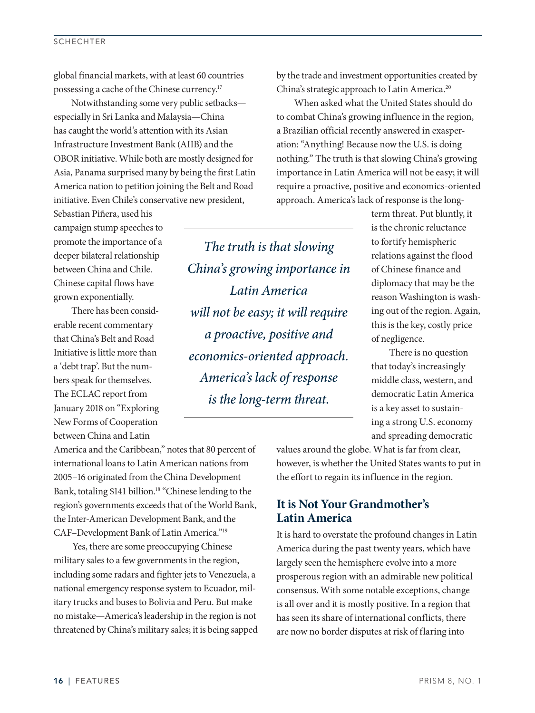## **SCHECHTER**

global financial markets, with at least 60 countries possessing a cache of the Chinese currency.17

Notwithstanding some very public setbacks especially in Sri Lanka and Malaysia—China has caught the world's attention with its Asian Infrastructure Investment Bank (AIIB) and the OBOR initiative. While both are mostly designed for Asia, Panama surprised many by being the first Latin America nation to petition joining the Belt and Road initiative. Even Chile's conservative new president,

Sebastian Piñera, used his campaign stump speeches to promote the importance of a deeper bilateral relationship between China and Chile. Chinese capital flows have grown exponentially.

There has been considerable recent commentary that China's Belt and Road Initiative is little more than a 'debt trap'. But the numbers speak for themselves. The ECLAC report from January 2018 on "Exploring New Forms of Cooperation between China and Latin

*The truth is that slowing China's growing importance in Latin America will not be easy; it will require a proactive, positive and economics-oriented approach. America's lack of response is the long-term threat.*

by the trade and investment opportunities created by China's strategic approach to Latin America.<sup>20</sup>

When asked what the United States should do to combat China's growing influence in the region, a Brazilian official recently answered in exasperation: "Anything! Because now the U.S. is doing nothing." The truth is that slowing China's growing importance in Latin America will not be easy; it will require a proactive, positive and economics-oriented approach. America's lack of response is the long-

> term threat. Put bluntly, it is the chronic reluctance to fortify hemispheric relations against the flood of Chinese finance and diplomacy that may be the reason Washington is washing out of the region. Again, this is the key, costly price of negligence.

There is no question that today's increasingly middle class, western, and democratic Latin America is a key asset to sustaining a strong U.S. economy and spreading democratic

America and the Caribbean," notes that 80 percent of international loans to Latin American nations from 2005–16 originated from the China Development Bank, totaling \$141 billion.<sup>18</sup> "Chinese lending to the region's governments exceeds that of the World Bank, the Inter-American Development Bank, and the CAF–Development Bank of Latin America."19

Yes, there are some preoccupying Chinese military sales to a few governments in the region, including some radars and fighter jets to Venezuela, a national emergency response system to Ecuador, military trucks and buses to Bolivia and Peru. But make no mistake—America's leadership in the region is not threatened by China's military sales; it is being sapped values around the globe. What is far from clear, however, is whether the United States wants to put in the effort to regain its influence in the region.

# **It is Not Your Grandmother's Latin America**

It is hard to overstate the profound changes in Latin America during the past twenty years, which have largely seen the hemisphere evolve into a more prosperous region with an admirable new political consensus. With some notable exceptions, change is all over and it is mostly positive. In a region that has seen its share of international conflicts, there are now no border disputes at risk of flaring into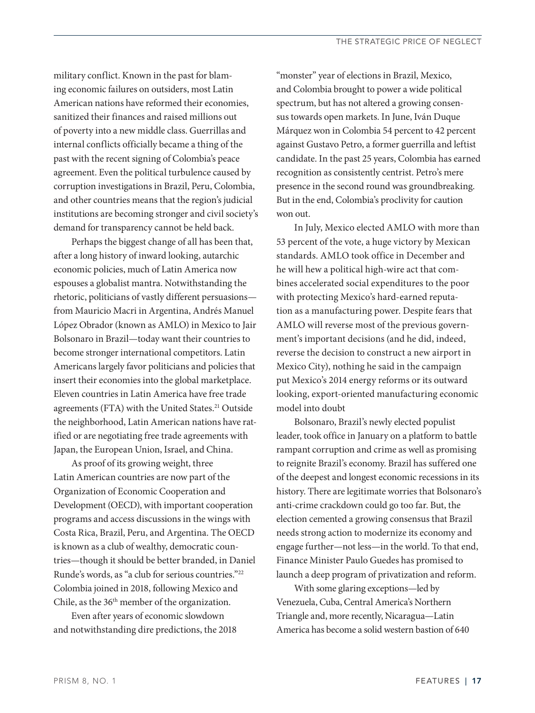military conflict. Known in the past for blaming economic failures on outsiders, most Latin American nations have reformed their economies, sanitized their finances and raised millions out of poverty into a new middle class. Guerrillas and internal conflicts officially became a thing of the past with the recent signing of Colombia's peace agreement. Even the political turbulence caused by corruption investigations in Brazil, Peru, Colombia, and other countries means that the region's judicial institutions are becoming stronger and civil society's demand for transparency cannot be held back.

Perhaps the biggest change of all has been that, after a long history of inward looking, autarchic economic policies, much of Latin America now espouses a globalist mantra. Notwithstanding the rhetoric, politicians of vastly different persuasions from Mauricio Macri in Argentina, Andrés Manuel López Obrador (known as AMLO) in Mexico to Jair Bolsonaro in Brazil—today want their countries to become stronger international competitors. Latin Americans largely favor politicians and policies that insert their economies into the global marketplace. Eleven countries in Latin America have free trade agreements (FTA) with the United States.<sup>21</sup> Outside the neighborhood, Latin American nations have ratified or are negotiating free trade agreements with Japan, the European Union, Israel, and China.

As proof of its growing weight, three Latin American countries are now part of the Organization of Economic Cooperation and Development (OECD), with important cooperation programs and access discussions in the wings with Costa Rica, Brazil, Peru, and Argentina. The OECD is known as a club of wealthy, democratic countries—though it should be better branded, in Daniel Runde's words, as "a club for serious countries."22 Colombia joined in 2018, following Mexico and Chile, as the  $36<sup>th</sup>$  member of the organization.

Even after years of economic slowdown and notwithstanding dire predictions, the 2018 "monster" year of elections in Brazil, Mexico, and Colombia brought to power a wide political spectrum, but has not altered a growing consensus towards open markets. In June, Iván Duque Márquez won in Colombia 54 percent to 42 percent against Gustavo Petro, a former guerrilla and leftist candidate. In the past 25 years, Colombia has earned recognition as consistently centrist. Petro's mere presence in the second round was groundbreaking. But in the end, Colombia's proclivity for caution won out.

In July, Mexico elected AMLO with more than 53 percent of the vote, a huge victory by Mexican standards. AMLO took office in December and he will hew a political high-wire act that combines accelerated social expenditures to the poor with protecting Mexico's hard-earned reputation as a manufacturing power. Despite fears that AMLO will reverse most of the previous government's important decisions (and he did, indeed, reverse the decision to construct a new airport in Mexico City), nothing he said in the campaign put Mexico's 2014 energy reforms or its outward looking, export-oriented manufacturing economic model into doubt

Bolsonaro, Brazil's newly elected populist leader, took office in January on a platform to battle rampant corruption and crime as well as promising to reignite Brazil's economy. Brazil has suffered one of the deepest and longest economic recessions in its history. There are legitimate worries that Bolsonaro's anti-crime crackdown could go too far. But, the election cemented a growing consensus that Brazil needs strong action to modernize its economy and engage further—not less—in the world. To that end, Finance Minister Paulo Guedes has promised to launch a deep program of privatization and reform.

With some glaring exceptions—led by Venezuela, Cuba, Central America's Northern Triangle and, more recently, Nicaragua—Latin America has become a solid western bastion of 640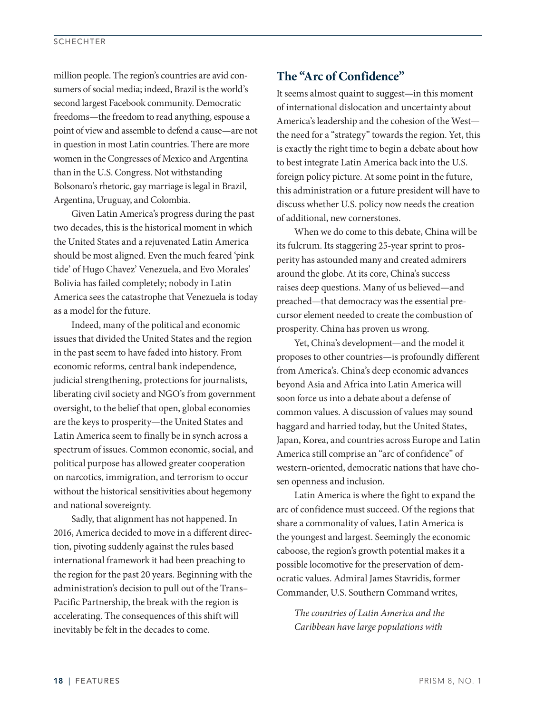million people. The region's countries are avid consumers of social media; indeed, Brazil is the world's second largest Facebook community. Democratic freedoms—the freedom to read anything, espouse a point of view and assemble to defend a cause—are not in question in most Latin countries. There are more women in the Congresses of Mexico and Argentina than in the U.S. Congress. Not withstanding Bolsonaro's rhetoric, gay marriage is legal in Brazil, Argentina, Uruguay, and Colombia.

Given Latin America's progress during the past two decades, this is the historical moment in which the United States and a rejuvenated Latin America should be most aligned. Even the much feared 'pink tide' of Hugo Chavez' Venezuela, and Evo Morales' Bolivia has failed completely; nobody in Latin America sees the catastrophe that Venezuela is today as a model for the future.

Indeed, many of the political and economic issues that divided the United States and the region in the past seem to have faded into history. From economic reforms, central bank independence, judicial strengthening, protections for journalists, liberating civil society and NGO's from government oversight, to the belief that open, global economies are the keys to prosperity—the United States and Latin America seem to finally be in synch across a spectrum of issues. Common economic, social, and political purpose has allowed greater cooperation on narcotics, immigration, and terrorism to occur without the historical sensitivities about hegemony and national sovereignty.

Sadly, that alignment has not happened. In 2016, America decided to move in a different direction, pivoting suddenly against the rules based international framework it had been preaching to the region for the past 20 years. Beginning with the administration's decision to pull out of the Trans– Pacific Partnership, the break with the region is accelerating. The consequences of this shift will inevitably be felt in the decades to come.

# **The "Arc of Confidence"**

It seems almost quaint to suggest—in this moment of international dislocation and uncertainty about America's leadership and the cohesion of the West the need for a "strategy" towards the region. Yet, this is exactly the right time to begin a debate about how to best integrate Latin America back into the U.S. foreign policy picture. At some point in the future, this administration or a future president will have to discuss whether U.S. policy now needs the creation of additional, new cornerstones.

When we do come to this debate, China will be its fulcrum. Its staggering 25-year sprint to prosperity has astounded many and created admirers around the globe. At its core, China's success raises deep questions. Many of us believed—and preached—that democracy was the essential precursor element needed to create the combustion of prosperity. China has proven us wrong.

Yet, China's development—and the model it proposes to other countries—is profoundly different from America's. China's deep economic advances beyond Asia and Africa into Latin America will soon force us into a debate about a defense of common values. A discussion of values may sound haggard and harried today, but the United States, Japan, Korea, and countries across Europe and Latin America still comprise an "arc of confidence" of western-oriented, democratic nations that have chosen openness and inclusion.

Latin America is where the fight to expand the arc of confidence must succeed. Of the regions that share a commonality of values, Latin America is the youngest and largest. Seemingly the economic caboose, the region's growth potential makes it a possible locomotive for the preservation of democratic values. Admiral James Stavridis, former Commander, U.S. Southern Command writes,

*The countries of Latin America and the Caribbean have large populations with*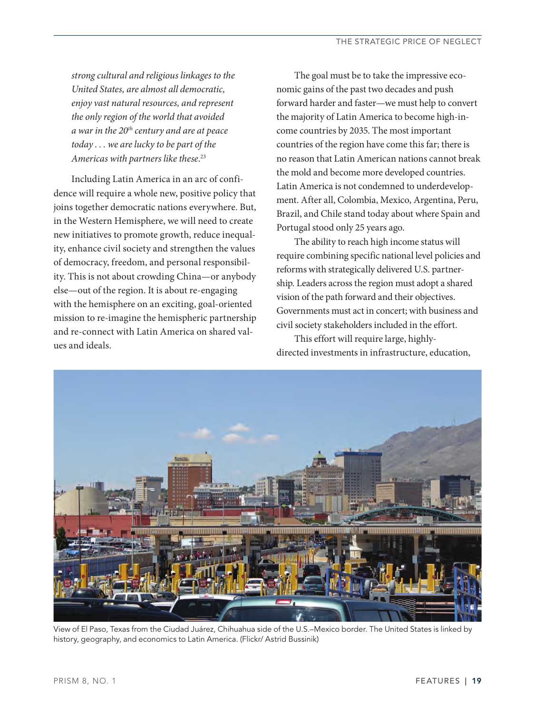*strong cultural and religious linkages to the United States, are almost all democratic, enjoy vast natural resources, and represent the only region of the world that avoided a war in the 20th century and are at peace today . . . we are lucky to be part of the Americas with partners like these*. 23

Including Latin America in an arc of confidence will require a whole new, positive policy that joins together democratic nations everywhere. But, in the Western Hemisphere, we will need to create new initiatives to promote growth, reduce inequality, enhance civil society and strengthen the values of democracy, freedom, and personal responsibility. This is not about crowding China—or anybody else—out of the region. It is about re-engaging with the hemisphere on an exciting, goal-oriented mission to re-imagine the hemispheric partnership and re-connect with Latin America on shared values and ideals.

The goal must be to take the impressive economic gains of the past two decades and push forward harder and faster—we must help to convert the majority of Latin America to become high-income countries by 2035. The most important countries of the region have come this far; there is no reason that Latin American nations cannot break the mold and become more developed countries. Latin America is not condemned to underdevelopment. After all, Colombia, Mexico, Argentina, Peru, Brazil, and Chile stand today about where Spain and Portugal stood only 25 years ago.

The ability to reach high income status will require combining specific national level policies and reforms with strategically delivered U.S. partnership. Leaders across the region must adopt a shared vision of the path forward and their objectives. Governments must act in concert; with business and civil society stakeholders included in the effort.

This effort will require large, highlydirected investments in infrastructure, education,



View of El Paso, Texas from the Ciudad Juárez, Chihuahua side of the U.S.–Mexico border. The United States is linked by history, geography, and economics to Latin America. (Flickr/ Astrid Bussinik)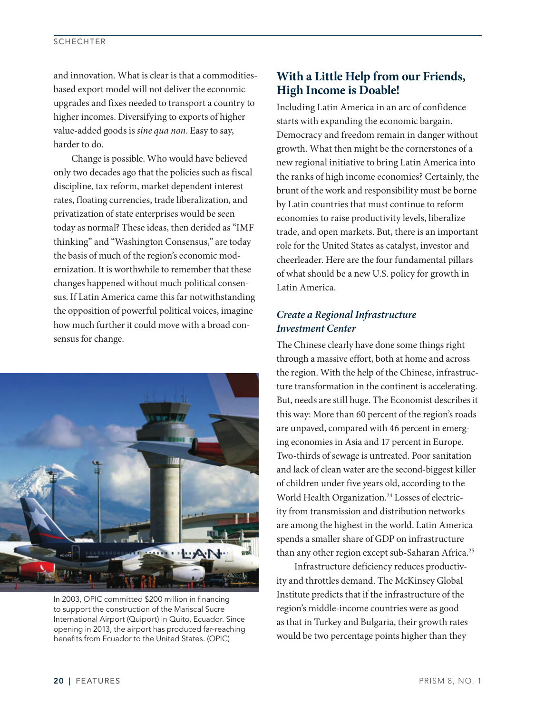#### **SCHECHTER**

and innovation. What is clear is that a commoditiesbased export model will not deliver the economic upgrades and fixes needed to transport a country to higher incomes. Diversifying to exports of higher value-added goods is *sine qua non*. Easy to say, harder to do.

Change is possible. Who would have believed only two decades ago that the policies such as fiscal discipline, tax reform, market dependent interest rates, floating currencies, trade liberalization, and privatization of state enterprises would be seen today as normal? These ideas, then derided as "IMF thinking" and "Washington Consensus," are today the basis of much of the region's economic modernization. It is worthwhile to remember that these changes happened without much political consensus. If Latin America came this far notwithstanding the opposition of powerful political voices, imagine how much further it could move with a broad consensus for change.



In 2003, OPIC committed \$200 million in financing to support the construction of the Mariscal Sucre International Airport (Quiport) in Quito, Ecuador. Since opening in 2013, the airport has produced far-reaching benefits from Ecuador to the United States. (OPIC)

# **With a Little Help from our Friends, High Income is Doable!**

Including Latin America in an arc of confidence starts with expanding the economic bargain. Democracy and freedom remain in danger without growth. What then might be the cornerstones of a new regional initiative to bring Latin America into the ranks of high income economies? Certainly, the brunt of the work and responsibility must be borne by Latin countries that must continue to reform economies to raise productivity levels, liberalize trade, and open markets. But, there is an important role for the United States as catalyst, investor and cheerleader. Here are the four fundamental pillars of what should be a new U.S. policy for growth in Latin America.

## *Create a Regional Infrastructure Investment Center*

The Chinese clearly have done some things right through a massive effort, both at home and across the region. With the help of the Chinese, infrastructure transformation in the continent is accelerating. But, needs are still huge. The Economist describes it this way: More than 60 percent of the region's roads are unpaved, compared with 46 percent in emerging economies in Asia and 17 percent in Europe. Two-thirds of sewage is untreated. Poor sanitation and lack of clean water are the second-biggest killer of children under five years old, according to the World Health Organization.<sup>24</sup> Losses of electricity from transmission and distribution networks are among the highest in the world. Latin America spends a smaller share of GDP on infrastructure than any other region except sub-Saharan Africa.<sup>25</sup>

Infrastructure deficiency reduces productivity and throttles demand. The McKinsey Global Institute predicts that if the infrastructure of the region's middle-income countries were as good as that in Turkey and Bulgaria, their growth rates would be two percentage points higher than they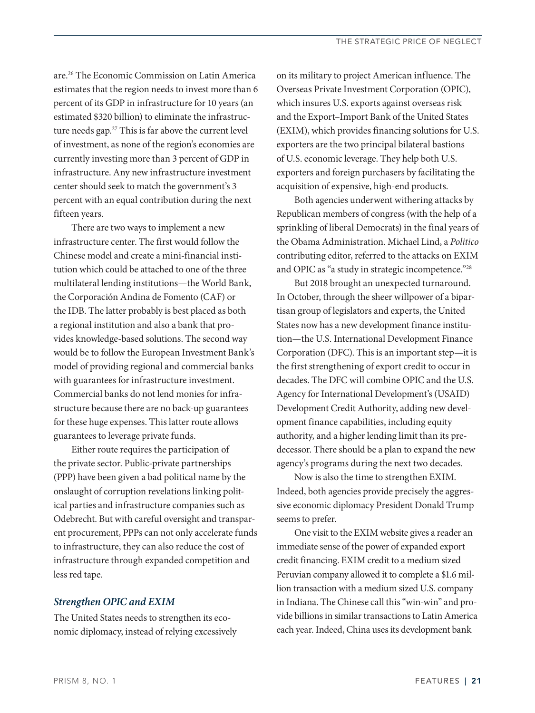are.26 The Economic Commission on Latin America estimates that the region needs to invest more than 6 percent of its GDP in infrastructure for 10 years (an estimated \$320 billion) to eliminate the infrastructure needs gap.<sup>27</sup> This is far above the current level of investment, as none of the region's economies are currently investing more than 3 percent of GDP in infrastructure. Any new infrastructure investment center should seek to match the government's 3 percent with an equal contribution during the next fifteen years.

There are two ways to implement a new infrastructure center. The first would follow the Chinese model and create a mini-financial institution which could be attached to one of the three multilateral lending institutions—the World Bank, the Corporación Andina de Fomento (CAF) or the IDB. The latter probably is best placed as both a regional institution and also a bank that provides knowledge-based solutions. The second way would be to follow the European Investment Bank's model of providing regional and commercial banks with guarantees for infrastructure investment. Commercial banks do not lend monies for infrastructure because there are no back-up guarantees for these huge expenses. This latter route allows guarantees to leverage private funds.

Either route requires the participation of the private sector. Public-private partnerships (PPP) have been given a bad political name by the onslaught of corruption revelations linking political parties and infrastructure companies such as Odebrecht. But with careful oversight and transparent procurement, PPPs can not only accelerate funds to infrastructure, they can also reduce the cost of infrastructure through expanded competition and less red tape.

## *Strengthen OPIC and EXIM*

The United States needs to strengthen its economic diplomacy, instead of relying excessively on its military to project American influence. The Overseas Private Investment Corporation (OPIC), which insures U.S. exports against overseas risk and the Export–Import Bank of the United States (EXIM), which provides financing solutions for U.S. exporters are the two principal bilateral bastions of U.S. economic leverage. They help both U.S. exporters and foreign purchasers by facilitating the acquisition of expensive, high-end products.

Both agencies underwent withering attacks by Republican members of congress (with the help of a sprinkling of liberal Democrats) in the final years of the Obama Administration. Michael Lind, a *Politico* contributing editor, referred to the attacks on EXIM and OPIC as "a study in strategic incompetence."28

But 2018 brought an unexpected turnaround. In October, through the sheer willpower of a bipartisan group of legislators and experts, the United States now has a new development finance institution—the U.S. International Development Finance Corporation (DFC). This is an important step—it is the first strengthening of export credit to occur in decades. The DFC will combine OPIC and the U.S. Agency for International Development's (USAID) Development Credit Authority, adding new development finance capabilities, including equity authority, and a higher lending limit than its predecessor. There should be a plan to expand the new agency's programs during the next two decades.

Now is also the time to strengthen EXIM. Indeed, both agencies provide precisely the aggressive economic diplomacy President Donald Trump seems to prefer.

One visit to the EXIM website gives a reader an immediate sense of the power of expanded export credit financing. EXIM credit to a medium sized Peruvian company allowed it to complete a \$1.6 million transaction with a medium sized U.S. company in Indiana. The Chinese call this "win-win" and provide billions in similar transactions to Latin America each year. Indeed, China uses its development bank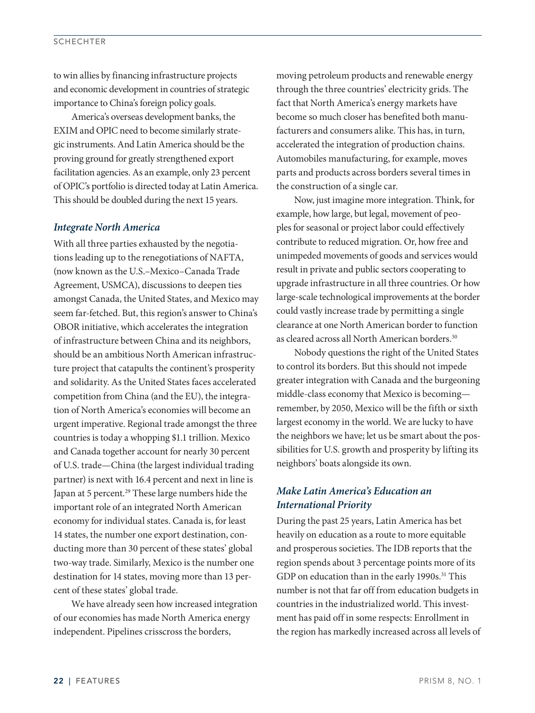#### **SCHECHTER**

to win allies by financing infrastructure projects and economic development in countries of strategic importance to China's foreign policy goals.

America's overseas development banks, the EXIM and OPIC need to become similarly strategic instruments. And Latin America should be the proving ground for greatly strengthened export facilitation agencies. As an example, only 23 percent of OPIC's portfolio is directed today at Latin America. This should be doubled during the next 15 years.

## *Integrate North America*

With all three parties exhausted by the negotiations leading up to the renegotiations of NAFTA, (now known as the U.S.–Mexico–Canada Trade Agreement, USMCA), discussions to deepen ties amongst Canada, the United States, and Mexico may seem far-fetched. But, this region's answer to China's OBOR initiative, which accelerates the integration of infrastructure between China and its neighbors, should be an ambitious North American infrastructure project that catapults the continent's prosperity and solidarity. As the United States faces accelerated competition from China (and the EU), the integration of North America's economies will become an urgent imperative. Regional trade amongst the three countries is today a whopping \$1.1 trillion. Mexico and Canada together account for nearly 30 percent of U.S. trade—China (the largest individual trading partner) is next with 16.4 percent and next in line is Japan at 5 percent.<sup>29</sup> These large numbers hide the important role of an integrated North American economy for individual states. Canada is, for least 14 states, the number one export destination, conducting more than 30 percent of these states' global two-way trade. Similarly, Mexico is the number one destination for 14 states, moving more than 13 percent of these states' global trade.

We have already seen how increased integration of our economies has made North America energy independent. Pipelines crisscross the borders,

moving petroleum products and renewable energy through the three countries' electricity grids. The fact that North America's energy markets have become so much closer has benefited both manufacturers and consumers alike. This has, in turn, accelerated the integration of production chains. Automobiles manufacturing, for example, moves parts and products across borders several times in the construction of a single car.

Now, just imagine more integration. Think, for example, how large, but legal, movement of peoples for seasonal or project labor could effectively contribute to reduced migration. Or, how free and unimpeded movements of goods and services would result in private and public sectors cooperating to upgrade infrastructure in all three countries. Or how large-scale technological improvements at the border could vastly increase trade by permitting a single clearance at one North American border to function as cleared across all North American borders.<sup>30</sup>

Nobody questions the right of the United States to control its borders. But this should not impede greater integration with Canada and the burgeoning middle-class economy that Mexico is becoming remember, by 2050, Mexico will be the fifth or sixth largest economy in the world. We are lucky to have the neighbors we have; let us be smart about the possibilities for U.S. growth and prosperity by lifting its neighbors' boats alongside its own.

## *Make Latin America's Education an International Priority*

During the past 25 years, Latin America has bet heavily on education as a route to more equitable and prosperous societies. The IDB reports that the region spends about 3 percentage points more of its GDP on education than in the early 1990s.<sup>31</sup> This number is not that far off from education budgets in countries in the industrialized world. This investment has paid off in some respects: Enrollment in the region has markedly increased across all levels of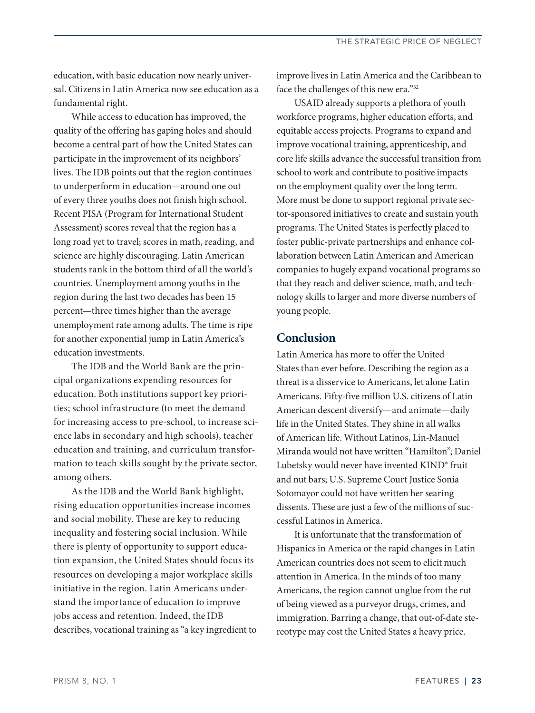education, with basic education now nearly universal. Citizens in Latin America now see education as a fundamental right.

While access to education has improved, the quality of the offering has gaping holes and should become a central part of how the United States can participate in the improvement of its neighbors' lives. The IDB points out that the region continues to underperform in education—around one out of every three youths does not finish high school. Recent PISA (Program for International Student Assessment) scores reveal that the region has a long road yet to travel; scores in math, reading, and science are highly discouraging. Latin American students rank in the bottom third of all the world's countries. Unemployment among youths in the region during the last two decades has been 15 percent—three times higher than the average unemployment rate among adults. The time is ripe for another exponential jump in Latin America's education investments.

The IDB and the World Bank are the principal organizations expending resources for education. Both institutions support key priorities; school infrastructure (to meet the demand for increasing access to pre-school, to increase science labs in secondary and high schools), teacher education and training, and curriculum transformation to teach skills sought by the private sector, among others.

As the IDB and the World Bank highlight, rising education opportunities increase incomes and social mobility. These are key to reducing inequality and fostering social inclusion. While there is plenty of opportunity to support education expansion, the United States should focus its resources on developing a major workplace skills initiative in the region. Latin Americans understand the importance of education to improve jobs access and retention. Indeed, the IDB describes, vocational training as "a key ingredient to improve lives in Latin America and the Caribbean to face the challenges of this new era."32

USAID already supports a plethora of youth workforce programs, higher education efforts, and equitable access projects. Programs to expand and improve vocational training, apprenticeship, and core life skills advance the successful transition from school to work and contribute to positive impacts on the employment quality over the long term. More must be done to support regional private sector-sponsored initiatives to create and sustain youth programs. The United States is perfectly placed to foster public-private partnerships and enhance collaboration between Latin American and American companies to hugely expand vocational programs so that they reach and deliver science, math, and technology skills to larger and more diverse numbers of young people.

# **Conclusion**

Latin America has more to offer the United States than ever before. Describing the region as a threat is a disservice to Americans, let alone Latin Americans. Fifty-five million U.S. citizens of Latin American descent diversify—and animate—daily life in the United States. They shine in all walks of American life. Without Latinos, Lin-Manuel Miranda would not have written "Hamilton"; Daniel Lubetsky would never have invented KIND® fruit and nut bars; U.S. Supreme Court Justice Sonia Sotomayor could not have written her searing dissents. These are just a few of the millions of successful Latinos in America.

It is unfortunate that the transformation of Hispanics in America or the rapid changes in Latin American countries does not seem to elicit much attention in America. In the minds of too many Americans, the region cannot unglue from the rut of being viewed as a purveyor drugs, crimes, and immigration. Barring a change, that out-of-date stereotype may cost the United States a heavy price.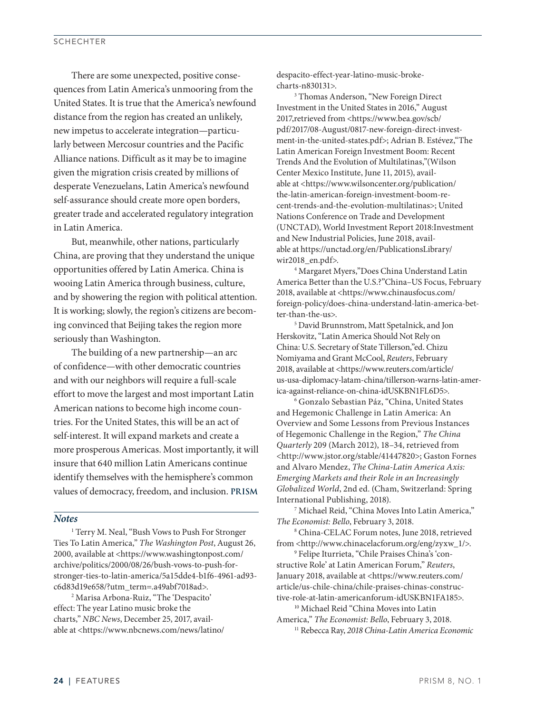There are some unexpected, positive consequences from Latin America's unmooring from the United States. It is true that the America's newfound distance from the region has created an unlikely, new impetus to accelerate integration—particularly between Mercosur countries and the Pacific Alliance nations. Difficult as it may be to imagine given the migration crisis created by millions of desperate Venezuelans, Latin America's newfound self-assurance should create more open borders, greater trade and accelerated regulatory integration in Latin America.

But, meanwhile, other nations, particularly China, are proving that they understand the unique opportunities offered by Latin America. China is wooing Latin America through business, culture, and by showering the region with political attention. It is working; slowly, the region's citizens are becoming convinced that Beijing takes the region more seriously than Washington.

The building of a new partnership—an arc of confidence—with other democratic countries and with our neighbors will require a full-scale effort to move the largest and most important Latin American nations to become high income countries. For the United States, this will be an act of self-interest. It will expand markets and create a more prosperous Americas. Most importantly, it will insure that 640 million Latin Americans continue identify themselves with the hemisphere's common values of democracy, freedom, and inclusion. **PRISM**

## *Notes*

<sup>1</sup> Terry M. Neal, "Bush Vows to Push For Stronger Ties To Latin America," *The Washington Post*, August 26, 2000, available at <https://www.washingtonpost.com/ archive/politics/2000/08/26/bush-vows-to-push-forstronger-ties-to-latin-america/5a15dde4-b1f6-4961-ad93 c6d83d19e658/?utm\_term=.a49abf7018ad>.

2 Marisa Arbona-Ruiz, "The 'Despacito' effect: The year Latino music broke the charts," *NBC News*, December 25, 2017, available at <https://www.nbcnews.com/news/latino/ despacito-effect-year-latino-music-brokecharts-n830131>.

3 Thomas Anderson, "New Foreign Direct Investment in the United States in 2016," August 2017,retrieved from <https://www.bea.gov/scb/ pdf/2017/08-August/0817-new-foreign-direct-investment-in-the-united-states.pdf>; Adrian B. Estévez,"The Latin American Foreign Investment Boom: Recent Trends And the Evolution of Multilatinas,"(Wilson Center Mexico Institute, June 11, 2015), available at <https://www.wilsoncenter.org/publication/ the-latin-american-foreign-investment-boom-recent-trends-and-the-evolution-multilatinas>; United Nations Conference on Trade and Development (UNCTAD), World Investment Report 2018:Investment and New Industrial Policies, June 2018, available at https://unctad.org/en/PublicationsLibrary/ wir2018\_en.pdf>.

4 Margaret Myers,"Does China Understand Latin America Better than the U.S.?"China–US Focus, February 2018, available at <https://www.chinausfocus.com/ foreign-policy/does-china-understand-latin-america-better-than-the-us>.

5 David Brunnstrom, Matt Spetalnick, and Jon Herskovitz, "Latin America Should Not Rely on China: U.S. Secretary of State Tillerson,"ed. Chizu Nomiyama and Grant McCool, *Reuters*, February 2018, available at <https://www.reuters.com/article/ us-usa-diplomacy-latam-china/tillerson-warns-latin-america-against-reliance-on-china-idUSKBN1FL6D5>.

6 Gonzalo Sebastian Páz, "China, United States and Hegemonic Challenge in Latin America: An Overview and Some Lessons from Previous Instances of Hegemonic Challenge in the Region," *The China Quarterly* 209 (March 2012), 18–34, retrieved from <http://www.jstor.org/stable/41447820>; Gaston Fornes and Alvaro Mendez, *The China-Latin America Axis: Emerging Markets and their Role in an Increasingly Globalized World*, 2nd ed. (Cham, Switzerland: Spring International Publishing, 2018).

7 Michael Reid, "China Moves Into Latin America," *The Economist: Bello*, February 3, 2018.

8 China-CELAC Forum notes, June 2018, retrieved from <http://www.chinacelacforum.org/eng/zyxw\_1/>.

9 Felipe Iturrieta, "Chile Praises China's 'constructive Role' at Latin American Forum," *Reuters*, January 2018, available at <https://www.reuters.com/ article/us-chile-china/chile-praises-chinas-constructive-role-at-latin-americanforum-idUSKBN1FA185>.

<sup>10</sup> Michael Reid "China Moves into Latin America," *The Economist: Bello*, February 3, 2018. 11 Rebecca Ray, *2018 China-Latin America Economic* 

24 | FEATURES PRISM 8, NO. 1